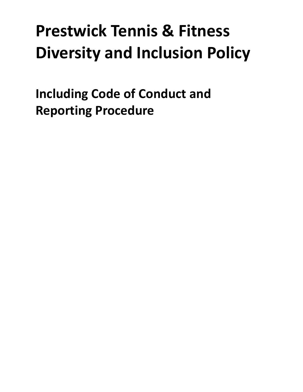# **Prestwick Tennis & Fitness Diversity and Inclusion Policy**

<span id="page-0-0"></span>**Including Code of Conduct and Reporting Procedure**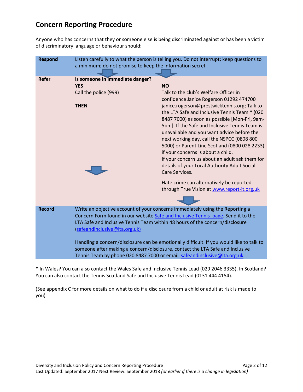# **Concern Reporting Procedure**

Anyone who has concerns that they or someone else is being discriminated against or has been a victim of discriminatory language or behaviour should:

| <b>Respond</b> | Listen carefully to what the person is telling you. Do not interrupt; keep questions to<br>a minimum; do not promise to keep the information secret                                                                                                                                                                                                                                                                                                                                                                                        |                                                                                                                                                                                                                                                                                                                                                                                                                                                                                                         |
|----------------|--------------------------------------------------------------------------------------------------------------------------------------------------------------------------------------------------------------------------------------------------------------------------------------------------------------------------------------------------------------------------------------------------------------------------------------------------------------------------------------------------------------------------------------------|---------------------------------------------------------------------------------------------------------------------------------------------------------------------------------------------------------------------------------------------------------------------------------------------------------------------------------------------------------------------------------------------------------------------------------------------------------------------------------------------------------|
| <b>Refer</b>   | Is someone in immediate danger?<br><b>YES</b><br>Call the police (999)                                                                                                                                                                                                                                                                                                                                                                                                                                                                     | <b>NO</b><br>Talk to the club's Welfare Officer in<br>confidence Janice Rogerson 01292 474700                                                                                                                                                                                                                                                                                                                                                                                                           |
|                | <b>THEN</b>                                                                                                                                                                                                                                                                                                                                                                                                                                                                                                                                | janice.rogerson@prestwicktennis.org; Talk to<br>the LTA Safe and Inclusive Tennis Team * (020<br>8487 7000) as soon as possible [Mon-Fri, 9am-<br>5pm]. If the Safe and Inclusive Tennis Team is<br>unavailable and you want advice before the<br>next working day, call the NSPCC (0808 800<br>5000) or Parent Line Scotland (0800 028 2233)<br>if your concerns is about a child.<br>If your concern us about an adult ask them for<br>details of your Local Authority Adult Social<br>Care Services. |
|                |                                                                                                                                                                                                                                                                                                                                                                                                                                                                                                                                            | Hate crime can alternatively be reported<br>through True Vision at www.report-it.org.uk                                                                                                                                                                                                                                                                                                                                                                                                                 |
| <b>Record</b>  | Write an objective account of your concerns immediately using the Reporting a<br>Concern Form found in our website Safe and Inclusive Tennis page. Send it to the<br>LTA Safe and Inclusive Tennis Team within 48 hours of the concern/disclosure<br>(safeandinclusive@Ita.org.uk)<br>Handling a concern/disclosure can be emotionally difficult. If you would like to talk to<br>someone after making a concern/disclosure, contact the LTA Safe and Inclusive<br>Tennis Team by phone 020 8487 7000 or email safeandinclusive@Ita.org.uk |                                                                                                                                                                                                                                                                                                                                                                                                                                                                                                         |
|                |                                                                                                                                                                                                                                                                                                                                                                                                                                                                                                                                            |                                                                                                                                                                                                                                                                                                                                                                                                                                                                                                         |

**\*** In Wales? You can also contact the Wales Safe and Inclusive Tennis Lead (029 2046 3335). In Scotland? You can also contact the Tennis Scotland Safe and Inclusive Tennis Lead (0131 444 4154).

(See appendix C for more details on what to do if a disclosure from a child or adult at risk is made to you)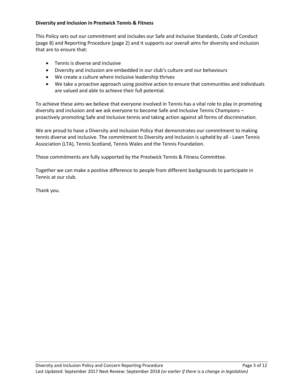#### **Diversity and Inclusion in Prestwick Tennis & Fitness**

This Policy sets out our commitment and includes our Safe and Inclusive Standards, Code of Conduct (page 8) and Reporting Procedure (page 2) and it supports our overall aims for diversity and inclusion that are to ensure that:

- Tennis is diverse and inclusive
- Diversity and inclusion are embedded in our club's culture and our behaviours
- We create a culture where inclusive leadership thrives
- We take a proactive approach using positive action to ensure that communities and individuals are valued and able to achieve their full potential.

To achieve these aims we believe that everyone involved in Tennis has a vital role to play in promoting diversity and inclusion and we ask everyone to become Safe and Inclusive Tennis Champions – proactively promoting Safe and Inclusive tennis and taking action against all forms of discrimination.

We are proud to have a Diversity and Inclusion Policy that demonstrates our commitment to making tennis diverse and inclusive. The commitment to Diversity and Inclusion is upheld by all - Lawn Tennis Association (LTA), Tennis Scotland, Tennis Wales and the Tennis Foundation.

These commitments are fully supported by the Prestwick Tennis & Fitness Committee.

Together we can make a positive difference to people from different backgrounds to participate in Tennis at our club.

Thank you.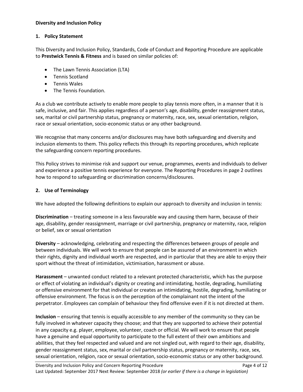#### **Diversity and Inclusion Policy**

#### **1. Policy Statement**

This Diversity and Inclusion Policy, Standards, Code of Conduct and Reporting Procedure are applicable to **Prestwick Tennis & Fitness** and is based on similar policies of:

- The Lawn Tennis Association (LTA)
- Tennis Scotland
- Tennis Wales
- The Tennis Foundation.

As a club we contribute actively to enable more people to play tennis more often, in a manner that it is safe, inclusive, and fair. This applies regardless of a person's age, disability, gender reassignment status, sex, marital or civil partnership status, pregnancy or maternity, race, sex, sexual orientation, religion, race or sexual orientation, socio-economic status or any other background.

We recognise that many concerns and/or disclosures may have both safeguarding and diversity and inclusion elements to them. This policy reflects this through its reporting procedures, which replicate the safeguarding concern reporting procedures.

This Policy strives to minimise risk and support our venue, programmes, events and individuals to deliver and experience a positive tennis experience for everyone. The Reporting Procedures in page 2 outlines how to respond to safeguarding or discrimination concerns/disclosures.

# **2. Use of Terminology**

We have adopted the following definitions to explain our approach to diversity and inclusion in tennis:

**Discrimination** – treating someone in a less favourable way and causing them harm, because of their age, disability, gender reassignment, marriage or civil partnership, pregnancy or maternity, race, religion or belief, sex or sexual orientation

**Diversity** – acknowledging, celebrating and respecting the differences between groups of people and between individuals. We will work to ensure that people can be assured of an environment in which their rights, dignity and individual worth are respected, and in particular that they are able to enjoy their sport without the threat of intimidation, victimisation, harassment or abuse.

**Harassment** – unwanted conduct related to a relevant protected characteristic, which has the purpose or effect of violating an individual's dignity or creating and intimidating, hostile, degrading, humiliating or offensive environment for that individual or creates an intimidating, hostile, degrading, humiliating or offensive environment. The focus is on the perception of the complainant not the intent of the perpetrator. Employees can complain of behaviour they find offensive even if it is not directed at them.

**Inclusion** – ensuring that tennis is equally accessible to any member of the community so they can be fully involved in whatever capacity they choose; and that they are supported to achieve their potential in any capacity e.g. player, employee, volunteer, coach or official. We will work to ensure that people have a genuine and equal opportunity to participate to the full extent of their own ambitions and abilities, that they feel respected and valued and are not singled out, with regard to their age, disability, gender reassignment status, sex, marital or civil partnership status, pregnancy or maternity, race, sex, sexual orientation, religion, race or sexual orientation, socio-economic status or any other background.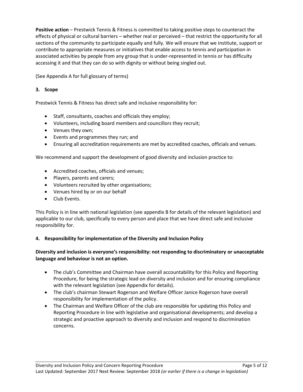**Positive action** – Prestwick Tennis & Fitness is committed to taking positive steps to counteract the effects of physical or cultural barriers – whether real or perceived – that restrict the opportunity for all sections of the community to participate equally and fully. We will ensure that we institute, support or contribute to appropriate measures or initiatives that enable access to tennis and participation in associated activities by people from any group that is under-represented in tennis or has difficulty accessing it and that they can do so with dignity or without being singled out.

(See Appendix A for full glossary of terms)

# **3. Scope**

Prestwick Tennis & Fitness has direct safe and inclusive responsibility for:

- Staff, consultants, coaches and officials they employ;
- Volunteers, including board members and councillors they recruit;
- Venues they own;
- Events and programmes they run; and
- Ensuring all accreditation requirements are met by accredited coaches, officials and venues.

We recommend and support the development of good diversity and inclusion practice to:

- Accredited coaches, officials and venues;
- Players, parents and carers;
- Volunteers recruited by other organisations;
- Venues hired by or on our behalf
- Club Events.

This Policy is in line with national legislation (see appendix B for details of the relevant legislation) and applicable to our club, specifically to every person and place that we have direct safe and inclusive responsibility for.

# **4. Responsibility for implementation of the Diversity and Inclusion Policy**

# **Diversity and inclusion is everyone's responsibility: not responding to discriminatory or unacceptable language and behaviour is not an option.**

- The club's Committee and Chairman have overall accountability for this Policy and Reporting Procedure, for being the strategic lead on diversity and inclusion and for ensuring compliance with the relevant legislation (see Appendix for details).
- The club's chairman Stewart Rogerson and Welfare Officer Janice Rogerson have overall responsibility for implementation of the policy.
- The Chairman and Welfare Officer of the club are responsible for updating this Policy and Reporting Procedure in line with legislative and organisational developments; and develop a strategic and proactive approach to diversity and inclusion and respond to discrimination concerns.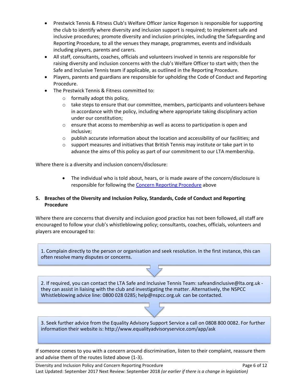- Prestwick Tennis & Fitness Club's Welfare Officer Janice Rogerson is responsible for supporting the club to identify where diversity and inclusion support is required; to implement safe and inclusive procedures; promote diversity and inclusion principles, including the Safeguarding and Reporting Procedure, to all the venues they manage, programmes, events and individuals including players, parents and carers.
- All staff, consultants, coaches, officials and volunteers involved in tennis are responsible for raising diversity and inclusion concerns with the club's Welfare Officer to start with; then the Safe and Inclusive Tennis team if applicable, as outlined in the Reporting Procedure.
- Players, parents and guardians are responsible for upholding the Code of Conduct and Reporting Procedure.
- The Prestwick Tennis & Fitness committed to:
	- o formally adopt this policy,
	- $\circ$  take steps to ensure that our committee, members, participants and volunteers behave in accordance with the policy, including where appropriate taking disciplinary action under our constitution;
	- o ensure that access to membership as well as access to participation is open and inclusive;
	- $\circ$  publish accurate information about the location and accessibility of our facilities; and
	- $\circ$  support measures and initiatives that British Tennis may institute or take part in to advance the aims of this policy as part of our commitment to our LTA membership.

Where there is a diversity and inclusion concern/disclosure:

 The individual who is told about, hears, or is made aware of the concern/disclosure is responsible for following the [Concern Reporting Procedure](#page-0-0) above

# **5. Breaches of the Diversity and Inclusion Policy, Standards, Code of Conduct and Reporting Procedure**

Where there are concerns that diversity and inclusion good practice has not been followed, all staff are encouraged to follow your club's whistleblowing policy; consultants, coaches, officials, volunteers and players are encouraged to:

1. Complain directly to the person or organisation and seek resolution. In the first instance, this can often resolve many disputes or concerns.

2. If required, you can contact the LTA Safe and Inclusive Tennis Team: safeandinclusive@lta.org.uk they can assist in liaising with the club and investigating the matter. Alternatively, the NSPCC Whistleblowing advice line: 0800 028 0285; help@nspcc.org.uk can be contacted.

3. Seek further advice from the Equality Advisory Support Service a call on 0808 800 0082. For further information their website is: http://www.equalityadvisoryservice.com/app/ask

If someone comes to you with a concern around discrimination, listen to their complaint, reassure them and advise them of the routes listed above (1-3).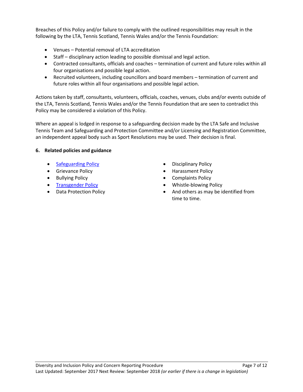Breaches of this Policy and/or failure to comply with the outlined responsibilities may result in the following by the LTA, Tennis Scotland, Tennis Wales and/or the Tennis Foundation:

- Venues Potential removal of LTA accreditation
- Staff disciplinary action leading to possible dismissal and legal action.
- Contracted consultants, officials and coaches termination of current and future roles within all four organisations and possible legal action.
- Recruited volunteers, including councillors and board members termination of current and future roles within all four organisations and possible legal action.

Actions taken by staff, consultants, volunteers, officials, coaches, venues, clubs and/or events outside of the LTA, Tennis Scotland, Tennis Wales and/or the Tennis Foundation that are seen to contradict this Policy may be considered a violation of this Policy.

Where an appeal is lodged in response to a safeguarding decision made by the LTA Safe and Inclusive Tennis Team and Safeguarding and Protection Committee and/or Licensing and Registration Committee, an independent appeal body such as Sport Resolutions may be used. Their decision is final.

# **6. Related policies and guidance**

- [Safeguarding Policy](https://www.lta.org.uk/globalassets/about-lta/safeguarding/british-tennis-safeguarding-policy.pdf) **Disciplinary Policy Disciplinary Policy**
- 
- 
- 
- 
- 
- Grievance Policy **Access 1998** Larassment Policy
- Bullying Policy **Complaints Policy Complaints Policy**
- [Transgender Policy](https://www.lta.org.uk/about-the-lta/policies-and-rules/transgender-policy/) **Transgender Policy Whistle-blowing Policy**
- Data Protection Policy **And others** as may be identified from time to time.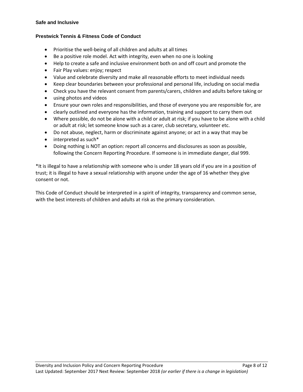#### **Safe and Inclusive**

#### **Prestwick Tennis & Fitness Code of Conduct**

- Prioritise the well-being of all children and adults at all times
- Be a positive role model. Act with integrity, even when no one is looking
- Help to create a safe and inclusive environment both on and off court and promote the
- Fair Play values: enjoy; respect
- Value and celebrate diversity and make all reasonable efforts to meet individual needs
- Keep clear boundaries between your professional and personal life, including on social media
- Check you have the relevant consent from parents/carers, children and adults before taking or
- using photos and videos
- Ensure your own roles and responsibilities, and those of everyone you are responsible for, are
- clearly outlined and everyone has the information, training and support to carry them out
- Where possible, do not be alone with a child or adult at risk; if you have to be alone with a child or adult at risk; let someone know such as a carer, club secretary, volunteer etc.
- Do not abuse, neglect, harm or discriminate against anyone; or act in a way that may be
- interpreted as such\*
- Doing nothing is NOT an option: report all concerns and disclosures as soon as possible, following the Concern Reporting Procedure. If someone is in immediate danger, dial 999.

\*It is illegal to have a relationship with someone who is under 18 years old if you are in a position of trust; it is illegal to have a sexual relationship with anyone under the age of 16 whether they give consent or not.

This Code of Conduct should be interpreted in a spirit of integrity, transparency and common sense, with the best interests of children and adults at risk as the primary consideration.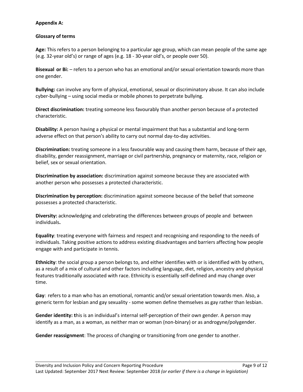#### **Appendix A:**

### **Glossary of terms**

**Age:** This refers to a person belonging to a particular age group, which can mean people of the same age (e.g. 32-year old's) or range of ages (e.g. 18 - 30-year old's, or people over 50).

**Bisexual or Bi:** – refers to a person who has an emotional and/or sexual orientation towards more than one gender.

**Bullying:** can involve any form of physical, emotional, sexual or discriminatory abuse. It can also include cyber-bullying – using social media or mobile phones to perpetrate bullying.

**Direct discrimination:** treating someone less favourably than another person because of a protected characteristic.

**Disability:** A person having a physical or mental impairment that has a substantial and long-term adverse effect on that person's ability to carry out normal day-to-day activities.

**Discrimination:** treating someone in a less favourable way and causing them harm, because of their age, disability, gender reassignment, marriage or civil partnership, pregnancy or maternity, race, religion or belief, sex or sexual orientation.

**Discrimination by association:** discrimination against someone because they are associated with another person who possesses a protected characteristic.

**Discrimination by perception:** discrimination against someone because of the belief that someone possesses a protected characteristic.

**Diversity:** acknowledging and celebrating the differences between groups of people and between individuals**.**

**Equality**: treating everyone with fairness and respect and recognising and responding to the needs of individuals. Taking positive actions to address existing disadvantages and barriers affecting how people engage with and participate in tennis.

**Ethnicity**: the social group a person belongs to, and either identifies with or is identified with by others, as a result of a mix of cultural and other factors including language, diet, religion, ancestry and physical features traditionally associated with race. Ethnicity is essentially self-defined and may change over time.

**Gay**: refers to a man who has an emotional, romantic and/or sexual orientation towards men. Also, a generic term for lesbian and gay sexuality - some women define themselves as gay rather than lesbian.

**Gender identity: t**his is an individual's internal self-perception of their own gender. A person may identify as a man, as a woman, as neither man or woman (non-binary) or as androgyne/polygender.

**Gender reassignment**: The process of changing or transitioning from one gender to another.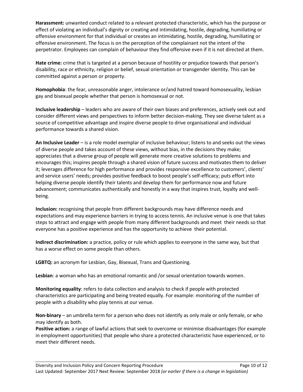**Harassment:** unwanted conduct related to a relevant protected characteristic, which has the purpose or effect of violating an individual's dignity or creating and intimidating, hostile, degrading, humiliating or offensive environment for that individual or creates an intimidating, hostile, degrading, humiliating or offensive environment. The focus is on the perception of the complainant not the intent of the perpetrator. Employees can complain of behaviour they find offensive even if it is not directed at them.

**Hate crime:** crime that is targeted at a person because of hostility or prejudice towards that person's disability, race or ethnicity, religion or belief, sexual orientation or transgender identity. This can be committed against a person or property.

**Homophobia**: the fear, unreasonable anger, intolerance or/and hatred toward homosexuality, lesbian gay and bisexual people whether that person is homosexual or not.

**Inclusive leadership** – leaders who are aware of their own biases and preferences, actively seek out and consider different views and perspectives to inform better decision-making. They see diverse talent as a source of competitive advantage and inspire diverse people to drive organisational and individual performance towards a shared vision.

**An Inclusive Leader** – is a role model exemplar of inclusive behaviour; listens to and seeks out the views of diverse people and takes account of these views, without bias, in the decisions they make; appreciates that a diverse group of people will generate more creative solutions to problems and encourages this; inspires people through a shared vision of future success and motivates them to deliver it; leverages difference for high performance and provides responsive excellence to customers', clients' and service users' needs; provides positive feedback to boost people's self-efficacy; puts effort into helping diverse people identify their talents and develop them for performance now and future advancement; communicates authentically and honestly in a way that inspires trust, loyalty and wellbeing.

**Inclusion:** recognising that people from different backgrounds may have difference needs and expectations and may experience barriers in trying to access tennis. An inclusive venue is one that takes steps to attract and engage with people from many different backgrounds and meet their needs so that everyone has a positive experience and has the opportunity to achieve their potential.

**Indirect discrimination:** a practice, policy or rule which applies to everyone in the same way, but that has a worse effect on some people than others.

**LGBTQ:** an acronym for Lesbian, Gay, Bisexual, Trans and Questioning.

**Lesbian**: a woman who has an emotional romantic and /or sexual orientation towards women.

**Monitoring equality**: refers to data collection and analysis to check if people with protected characteristics are participating and being treated equally. For example: monitoring of the number of people with a disability who play tennis at our venue.

**Non-binary** – an umbrella term for a person who does not identify as only male or only female, or who may identify as both.

**Positive action:** a range of lawful actions that seek to overcome or minimise disadvantages (for example in employment opportunities) that people who share a protected characteristic have experienced, or to meet their different needs.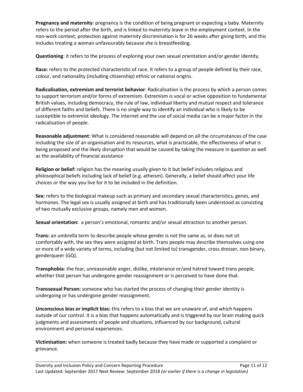**Pregnancy and maternity**: pregnancy is the condition of being pregnant or expecting a baby. Maternity refers to the period after the birth, and is linked to maternity leave in the employment context. In the non-work context, protection against maternity discrimination is for 26 weeks after giving birth, and this includes treating a woman unfavourably because she is breastfeeding.

**Questioning**: it refers to the process of exploring your own sexual orientation and/or gender identity.

**Race:** refers to the protected characteristic of race. It refers to a group of people defined by their race, colour, and nationality (including citizenship) ethnic or national origins.

**Radicalisation, extremism and terrorist behavior**: Radicalisation is the process by which a person comes to support terrorism and/or forms of extremism. Extremism is vocal or active opposition to fundamental British values, including democracy, the rule of law, individual liberty and mutual respect and tolerance of different faiths and beliefs. There is no single way to identify an individual who is likely to be susceptible to extremist ideology. The internet and the use of social media can be a major factor in the radicalisation of people.

**Reasonable adjustment**: What is considered reasonable will depend on all the circumstances of the case including the size of an organisation and its resources, what is practicable, the effectiveness of what is being proposed and the likely disruption that would be caused by taking the measure in question as well as the availability of financial assistance

**Religion or belief:** religion has the meaning usually given to it but belief includes religious and philosophical beliefs including lack of belief (e.g. atheism). Generally, a belief should affect your life choices or the way you live for it to be included in the definition.

**Sex:** refers to the biological makeup such as primary and secondary sexual characteristics, genes, and hormones. The legal sex is usually assigned at birth and has traditionally been understood as consisting of two mutually exclusive groups, namely men and women.

**Sexual orientation:** a person's emotional, romantic and/or sexual attraction to another person.

**Trans:** an umbrella term to describe people whose gender is not the same as, or does not sit comfortably with, the sex they were assigned at birth. Trans people may describe themselves using one or more of a wide variety of terms, including (but not limited to) transgender, cross dresser, non-binary, genderqueer (GQ).

**Transphobia**: the fear, unreasonable anger, dislike, intolerance or/and hatred toward trans people, whether that person has undergone gender reassignment or is perceived to have done that.

**Transsexual Person:** someone who has started the process of changing their gender identity is undergoing or has undergone gender reassignment.

**Unconscious bias or implicit bias:** this refers to a bias that we are unaware of, and which happens outside of our control. It is a bias that happens automatically and is triggered by our brain making quick judgments and assessments of people and situations, influenced by our background, cultural environment and personal experiences.

**Victimisation:** when someone is treated badly because they have made or supported a complaint or grievance.